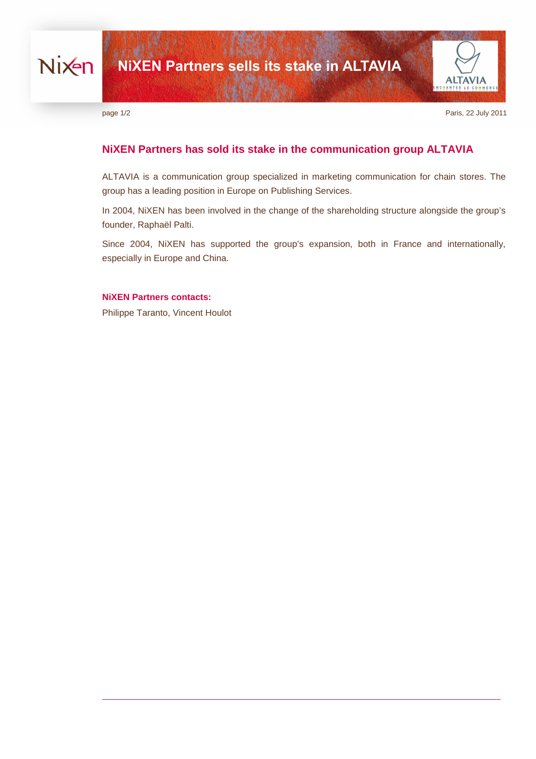



page  $1/2$  Paris, 22 July 2011

# **NiXEN Partners has sold its stake in the communication group ALTAVIA**

ALTAVIA is a communication group specialized in marketing communication for chain stores. The group has a leading position in Europe on Publishing Services.

In 2004, NiXEN has been involved in the change of the shareholding structure alongside the group's founder, Raphaël Palti.

Since 2004, NiXEN has supported the group's expansion, both in France and internationally, especially in Europe and China.

### **NiXEN Partners contacts:**

Philippe Taranto, Vincent Houlot